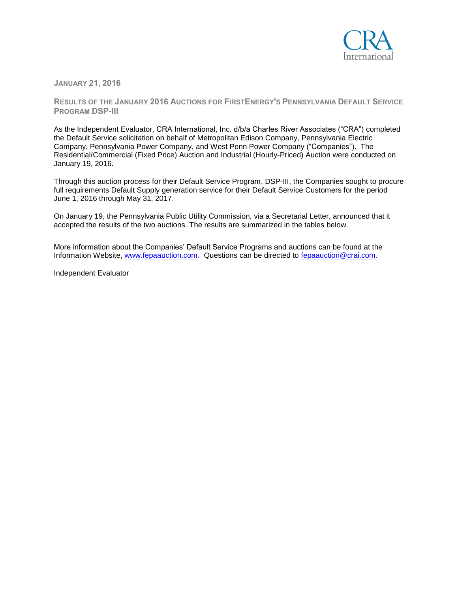

**JANUARY 21, 2016**

**RESULTS OF THE JANUARY 2016 AUCTIONS FOR FIRSTENERGY'S PENNSYLVANIA DEFAULT SERVICE PROGRAM DSP-III**

As the Independent Evaluator, CRA International, Inc. d/b/a Charles River Associates ("CRA") completed the Default Service solicitation on behalf of Metropolitan Edison Company, Pennsylvania Electric Company, Pennsylvania Power Company, and West Penn Power Company ("Companies"). The Residential/Commercial (Fixed Price) Auction and Industrial (Hourly-Priced) Auction were conducted on January 19, 2016.

Through this auction process for their Default Service Program, DSP-III, the Companies sought to procure full requirements Default Supply generation service for their Default Service Customers for the period June 1, 2016 through May 31, 2017.

On January 19, the Pennsylvania Public Utility Commission, via a Secretarial Letter, announced that it accepted the results of the two auctions. The results are summarized in the tables below.

More information about the Companies' Default Service Programs and auctions can be found at the Information Website, [www.fepaauction.com.](http://www.fepaauction.com/) Questions can be directed to [fepaauction@crai.com.](mailto:fepaauction@crai.com)

Independent Evaluator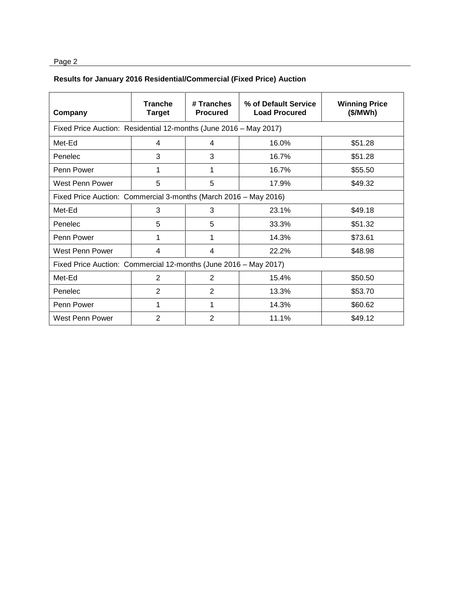## Page 2

## **Results for January 2016 Residential/Commercial (Fixed Price) Auction**

| Company                                                           | <b>Tranche</b><br><b>Target</b> | # Tranches<br><b>Procured</b> | % of Default Service<br><b>Load Procured</b> | <b>Winning Price</b><br>(\$/MWh) |  |  |  |
|-------------------------------------------------------------------|---------------------------------|-------------------------------|----------------------------------------------|----------------------------------|--|--|--|
| Fixed Price Auction: Residential 12-months (June 2016 - May 2017) |                                 |                               |                                              |                                  |  |  |  |
| Met-Ed                                                            | 4                               | 4                             | 16.0%                                        | \$51.28                          |  |  |  |
| Penelec                                                           | 3                               | 3                             | 16.7%                                        | \$51.28                          |  |  |  |
| Penn Power                                                        |                                 | 1                             | 16.7%                                        | \$55.50                          |  |  |  |
| West Penn Power                                                   | 5                               | 5                             | 17.9%                                        | \$49.32                          |  |  |  |
| Fixed Price Auction: Commercial 3-months (March 2016 - May 2016)  |                                 |                               |                                              |                                  |  |  |  |
| Met-Ed                                                            | 3                               | 3                             | 23.1%                                        | \$49.18                          |  |  |  |
| Penelec                                                           | 5                               | 5                             | 33.3%                                        | \$51.32                          |  |  |  |
| Penn Power                                                        | 1                               | 1                             | 14.3%                                        | \$73.61                          |  |  |  |
| West Penn Power                                                   | 4                               | 4                             | 22.2%                                        | \$48.98                          |  |  |  |
| Fixed Price Auction: Commercial 12-months (June 2016 - May 2017)  |                                 |                               |                                              |                                  |  |  |  |
| Met-Ed                                                            | 2                               | 2                             | 15.4%                                        | \$50.50                          |  |  |  |
| Penelec                                                           | 2                               | $\overline{2}$                | 13.3%                                        | \$53.70                          |  |  |  |
| Penn Power                                                        | 1                               | 1                             | 14.3%                                        | \$60.62                          |  |  |  |
| West Penn Power                                                   | 2                               | 2                             | 11.1%                                        | \$49.12                          |  |  |  |